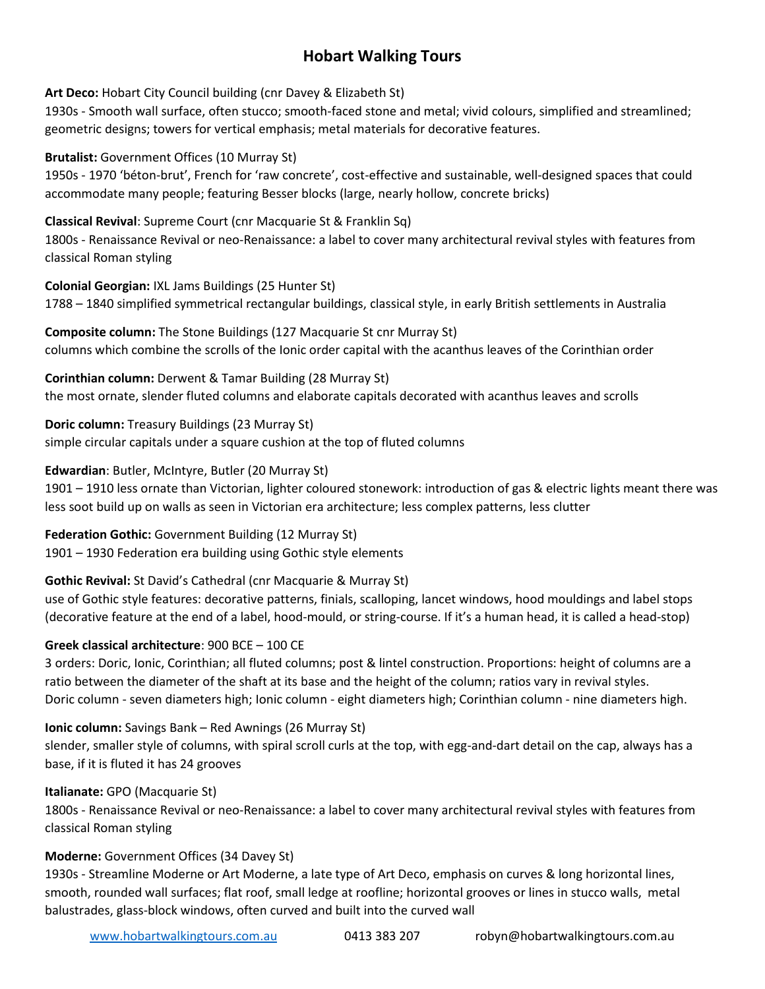# **Hobart Walking Tours**

**Art Deco:** Hobart City Council building (cnr Davey & Elizabeth St)

1930s - Smooth wall surface, often stucco; smooth-faced stone and metal; vivid colours, simplified and streamlined; geometric designs; towers for vertical emphasis; metal materials for decorative features.

**Brutalist:** Government Offices (10 Murray St)

1950s - 1970 'béton-brut', French for 'raw concrete', cost-effective and sustainable, well-designed spaces that could accommodate many people; featuring Besser blocks (large, nearly hollow, concrete bricks)

### **Classical Revival**: Supreme Court (cnr Macquarie St & Franklin Sq)

1800s - Renaissance Revival or neo-Renaissance: a label to cover many architectural revival styles with features from classical Roman styling

**Colonial Georgian:** IXL Jams Buildings (25 Hunter St) 1788 – 1840 simplified symmetrical rectangular buildings, classical style, in early British settlements in Australia

**Composite column:** The Stone Buildings (127 Macquarie St cnr Murray St) columns which combine the scrolls of the Ionic order capital with the acanthus leaves of the Corinthian order

**Corinthian column:** Derwent & Tamar Building (28 Murray St) the most ornate, slender fluted columns and elaborate capitals decorated with acanthus leaves and scrolls

**Doric column:** Treasury Buildings (23 Murray St) simple circular capitals under a square cushion at the top of fluted columns

**Edwardian**: Butler, McIntyre, Butler (20 Murray St)

1901 – 1910 less ornate than Victorian, lighter coloured stonework: introduction of gas & electric lights meant there was less soot build up on walls as seen in Victorian era architecture; less complex patterns, less clutter

**Federation Gothic:** Government Building (12 Murray St) 1901 – 1930 Federation era building using Gothic style elements

## **Gothic Revival:** St David's Cathedral (cnr Macquarie & Murray St)

use of Gothic style features: decorative patterns, finials, scalloping, lancet windows, hood mouldings and label stops (decorative feature at the end of a label, hood-mould, or string-course. If it's a human head, it is called a head-stop)

## **Greek classical architecture**: 900 BCE – 100 CE

3 orders: Doric, Ionic, Corinthian; all fluted columns; post & lintel construction. Proportions: height of columns are a ratio between the diameter of the shaft at its base and the height of the column; ratios vary in revival styles. Doric column - seven diameters high; Ionic column - eight diameters high; Corinthian column - nine diameters high.

**Ionic column:** Savings Bank – Red Awnings (26 Murray St)

slender, smaller style of columns, with spiral scroll curls at the top, with egg-and-dart detail on the cap, always has a base, if it is fluted it has 24 grooves

#### **Italianate:** GPO (Macquarie St)

1800s - Renaissance Revival or neo-Renaissance: a label to cover many architectural revival styles with features from classical Roman styling

## **Moderne:** Government Offices (34 Davey St)

1930s - Streamline Moderne or Art Moderne, a late type of Art Deco, emphasis on curves & long horizontal lines, smooth, rounded wall surfaces; flat roof, small ledge at roofline; horizontal grooves or lines in stucco walls, metal balustrades, glass-block windows, often curved and built into the curved wall